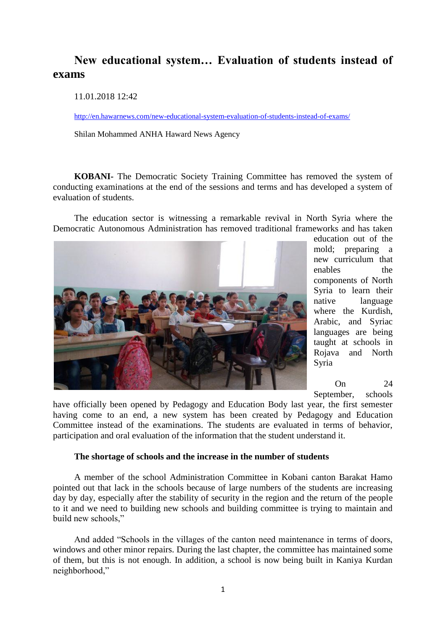## **New educational system… Evaluation of students instead of exams**

11.01.2018 12:42

<http://en.hawarnews.com/new-educational-system-evaluation-of-students-instead-of-exams/>

Shilan Mohammed ANHA Haward News Agency

**KOBANI-** The Democratic Society Training Committee has removed the system of conducting examinations at the end of the sessions and terms and has developed a system of evaluation of students.

The education sector is witnessing a remarkable revival in North Syria where the Democratic Autonomous Administration has removed traditional frameworks and has taken



education out of the mold; preparing a new curriculum that enables the components of North Syria to learn their native language where the Kurdish, Arabic, and Syriac languages are being taught at schools in Rojava and North Syria

 $On \t24$ 

September, schools

have officially been opened by Pedagogy and Education Body last year, the first semester having come to an end, a new system has been created by Pedagogy and Education Committee instead of the examinations. The students are evaluated in terms of behavior, participation and oral evaluation of the information that the student understand it.

## **The shortage of schools and the increase in the number of students**

A member of the school Administration Committee in Kobani canton Barakat Hamo pointed out that lack in the schools because of large numbers of the students are increasing day by day, especially after the stability of security in the region and the return of the people to it and we need to building new schools and building committee is trying to maintain and build new schools,"

And added "Schools in the villages of the canton need maintenance in terms of doors, windows and other minor repairs. During the last chapter, the committee has maintained some of them, but this is not enough. In addition, a school is now being built in Kaniya Kurdan neighborhood,"